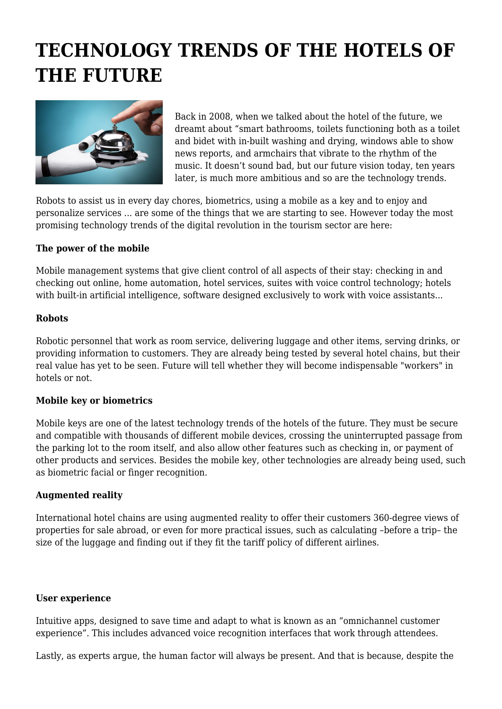# **TECHNOLOGY TRENDS OF THE HOTELS OF THE FUTURE**



Back in 2008, when we talked about the hotel of the future, we dreamt about "smart bathrooms, toilets functioning both as a toilet and bidet with in-built washing and drying, windows able to show news reports, and armchairs that vibrate to the rhythm of the music. It doesn't sound bad, but our future vision today, ten years later, is much more ambitious and so are the technology trends.

Robots to assist us in every day chores, biometrics, using a mobile as a key and to enjoy and personalize services ... are some of the things that we are starting to see. However today the most promising technology trends of the digital revolution in the tourism sector are here:

## **The power of the mobile**

Mobile management systems that give client control of all aspects of their stay: checking in and checking out online, home automation, hotel services, suites with voice control technology; hotels with built-in artificial intelligence, software designed exclusively to work with voice assistants...

### **Robots**

Robotic personnel that work as room service, delivering luggage and other items, serving drinks, or providing information to customers. They are already being tested by several hotel chains, but their real value has yet to be seen. Future will tell whether they will become indispensable "workers" in hotels or not.

## **Mobile key or biometrics**

Mobile keys are one of the latest technology trends of the hotels of the future. They must be secure and compatible with thousands of different mobile devices, crossing the uninterrupted passage from the parking lot to the room itself, and also allow other features such as checking in, or payment of other products and services. Besides the mobile key, other technologies are already being used, such as biometric facial or finger recognition.

#### **Augmented reality**

International hotel chains are using augmented reality to offer their customers 360-degree views of properties for sale abroad, or even for more practical issues, such as calculating –before a trip– the size of the luggage and finding out if they fit the tariff policy of different airlines.

#### **User experience**

Intuitive apps, designed to save time and adapt to what is known as an "omnichannel customer experience". This includes advanced voice recognition interfaces that work through attendees.

Lastly, as experts argue, the human factor will always be present. And that is because, despite the